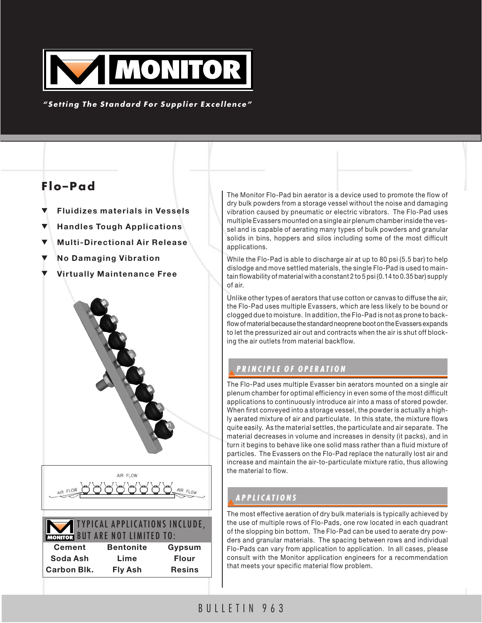

*"Setting The Standard For Supplier Excellence"*

# **Flo–Pad**

- **Fluidizes materials in Vessels**
- **Handles Tough Applications**
- **Multi-Directional Air Release**
- $No$  Damaging Vibration
- **Virtually Maintenance Free**





## TYPICAL APPLICATIONS INCLUDE, BUT ARE NOT LIMITED TO:

| EATHETH PUI ARE RUI EIMIIEP IU. |                  |               |
|---------------------------------|------------------|---------------|
| <b>Cement</b>                   | <b>Bentonite</b> | Gypsum        |
| Soda Ash                        | Lime             | <b>Flour</b>  |
| <b>Carbon Blk.</b>              | <b>Fly Ash</b>   | <b>Resins</b> |

The Monitor Flo-Pad bin aerator is a device used to promote the flow of dry bulk powders from a storage vessel without the noise and damaging vibration caused by pneumatic or electric vibrators. The Flo-Pad uses multiple Evassers mounted on a single air plenum chamber inside the vessel and is capable of aerating many types of bulk powders and granular solids in bins, hoppers and silos including some of the most difficult applications.

While the Flo-Pad is able to discharge air at up to 80 psi (5.5 bar) to help dislodge and move settled materials, the single Flo-Pad is used to maintain flowability of material with a constant 2 to 5 psi (0.14 to 0.35 bar) supply of air.

Unlike other types of aerators that use cotton or canvas to diffuse the air, the Flo-Pad uses multiple Evassers, which are less likely to be bound or clogged due to moisture. In addition, the Flo-Pad is not as prone to backflow of material because the standard neoprene boot on the Evassers expands to let the pressurized air out and contracts when the air is shut off blocking the air outlets from material backflow.

## ▼*PRINCIPLE OF OPERA PRINCIPLE OF OPERA TION*

The Flo-Pad uses multiple Evasser bin aerators mounted on a single air plenum chamber for optimal efficiency in even some of the most difficult applications to continuously introduce air into a mass of stored powder. When first conveyed into a storage vessel, the powder is actually a highly aerated mixture of air and particulate. In this state, the mixture flows quite easily. As the material settles, the particulate and air separate. The material decreases in volume and increases in density (it packs), and in turn it begins to behave like one solid mass rather than a fluid mixture of particles. The Evassers on the Flo-Pad replace the naturally lost air and increase and maintain the air-to-particulate mixture ratio, thus allowing the material to flow.

## ▼*APPLICA APPLICATIONS*

The most effective aeration of dry bulk materials is typically achieved by the use of multiple rows of Flo-Pads, one row located in each quadrant of the slopping bin bottom. The Flo-Pad can be used to aerate dry powders and granular materials. The spacing between rows and individual Flo-Pads can vary from application to application. In all cases, please consult with the Monitor application engineers for a recommendation that meets your specific material flow problem.

## BULLETIN 963